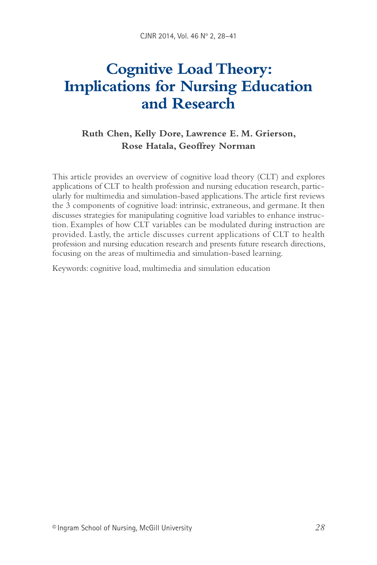# **Cognitive Load Theory: Implications for Nursing Education and Research**

# **Ruth Chen, Kelly Dore, Lawrence E. M. Grierson, Rose Hatala, Geoffrey Norman**

This article provides an overview of cognitive load theory (CLT) and explores applications of CLT to health profession and nursing education research, particularly for multimedia and simulation-based applications. The article first reviews the 3 components of cognitive load: intrinsic, extraneous, and germane. It then discusses strategies for manipulating cognitive load variables to enhance instruction. Examples of how CLT variables can be modulated during instruction are provided. Lastly, the article discusses current applications of CLT to health profession and nursing education research and presents future research directions, focusing on the areas of multimedia and simulation-based learning.

Keywords: cognitive load, multimedia and simulation education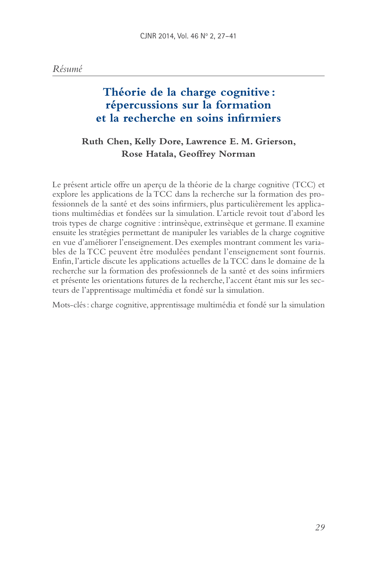# **Théorie de la charge cognitive: répercussions sur la formation et la recherche en soins infirmiers**

# **Ruth Chen, Kelly Dore, Lawrence E. M. Grierson, Rose Hatala, Geoffrey Norman**

Le présent article offre un aperçu de la théorie de la charge cognitive (TCC) et explore les applications de la TCC dans la recherche sur la formation des professionnels de la santé et des soins infirmiers, plus particulièrement les applications multimédias et fondées sur la simulation. L'article revoit tout d'abord les trois types de charge cognitive : intrinsèque, extrinsèque et germane. Il examine ensuite les stratégies permettant de manipuler les variables de la charge cognitive en vue d'améliorer l'enseignement. Des exemples montrant comment les variables de la TCC peuvent être modulées pendant l'enseignement sont fournis. Enfin, l'article discute les applications actuelles de la TCC dans le domaine de la recherche sur la formation des professionnels de la santé et des soins infirmiers et présente les orientations futures de la recherche, l'accent étant mis sur les secteurs de l'apprentissage multimédia et fondé sur la simulation.

Mots-clés : charge cognitive, apprentissage multimédia et fondé sur la simulation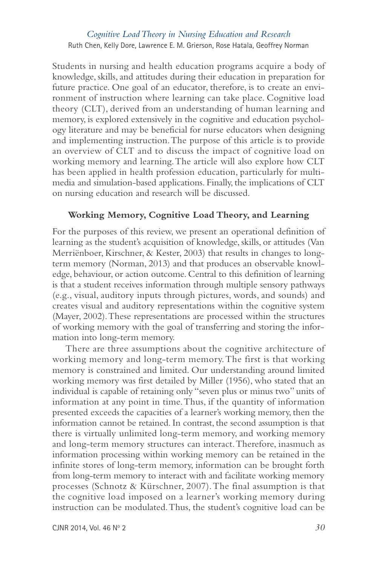Students in nursing and health education programs acquire a body of knowledge, skills, and attitudes during their education in preparation for future practice. One goal of an educator, therefore, is to create an environment of instruction where learning can take place. Cognitive load theory (CLT), derived from an understanding of human learning and memory, is explored extensively in the cognitive and education psychology literature and may be beneficial for nurse educators when designing and implementing instruction. The purpose of this article is to provide an overview of CLT and to discuss the impact of cognitive load on working memory and learning. The article will also explore how CLT has been applied in health profession education, particularly for multimedia and simulation-based applications. Finally, the implications of CLT on nursing education and research will be discussed.

#### **Working Memory, Cognitive Load Theory, and Learning**

For the purposes of this review, we present an operational definition of learning as the student's acquisition of knowledge, skills, or attitudes (Van Merriënboer, Kirschner, & Kester, 2003) that results in changes to longterm memory (Norman, 2013) and that produces an observable knowledge, behaviour, or action outcome. Central to this definition of learning is that a student receives information through multiple sensory pathways (e.g., visual, auditory inputs through pictures, words, and sounds) and creates visual and auditory representations within the cognitive system (Mayer, 2002). These representations are processed within the structures of working memory with the goal of transferring and storing the information into long-term memory.

There are three assumptions about the cognitive architecture of working memory and long-term memory. The first is that working memory is constrained and limited. Our understanding around limited working memory was first detailed by Miller (1956), who stated that an individual is capable of retaining only "seven plus or minus two" units of information at any point in time. Thus, if the quantity of information presented exceeds the capacities of a learner's working memory, then the information cannot be retained. In contrast, the second assumption is that there is virtually unlimited long-term memory, and working memory and long-term memory structures can interact. Therefore, inasmuch as information processing within working memory can be retained in the infinite stores of long-term memory, information can be brought forth from long-term memory to interact with and facilitate working memory processes (Schnotz & Kürschner, 2007). The final assumption is that the cognitive load imposed on a learner's working memory during instruction can be modulated. Thus, the student's cognitive load can be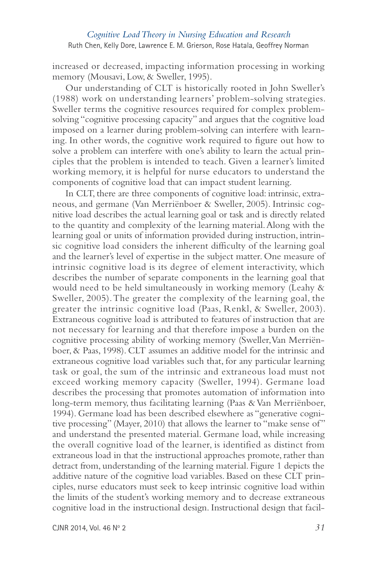increased or decreased, impacting information processing in working memory (Mousavi, Low, & Sweller, 1995).

Our understanding of CLT is historically rooted in John Sweller's (1988) work on understanding learners' problem-solving strategies. Sweller terms the cognitive resources required for complex problemsolving "cognitive processing capacity" and argues that the cognitive load imposed on a learner during problem-solving can interfere with learning. In other words, the cognitive work required to figure out how to solve a problem can interfere with one's ability to learn the actual principles that the problem is intended to teach. Given a learner's limited working memory, it is helpful for nurse educators to understand the components of cognitive load that can impact student learning.

In CLT, there are three components of cognitive load: intrinsic, extraneous, and germane (Van Merriënboer & Sweller, 2005). Intrinsic cognitive load describes the actual learning goal or task and is directly related to the quantity and complexity of the learning material. Along with the learning goal or units of information provided during instruction, intrinsic cognitive load considers the inherent difficulty of the learning goal and the learner's level of expertise in the subject matter. One measure of intrinsic cognitive load is its degree of element interactivity, which describes the number of separate components in the learning goal that would need to be held simultaneously in working memory (Leahy & Sweller, 2005). The greater the complexity of the learning goal, the greater the intrinsic cognitive load (Paas, Renkl, & Sweller, 2003). Extraneous cognitive load is attributed to features of instruction that are not necessary for learning and that therefore impose a burden on the cognitive processing ability of working memory (Sweller, Van Merriënboer, & Paas, 1998). CLT assumes an additive model for the intrinsic and extraneous cognitive load variables such that, for any particular learning task or goal, the sum of the intrinsic and extraneous load must not exceed working memory capacity (Sweller, 1994). Germane load describes the processing that promotes automation of information into long-term memory, thus facilitating learning (Paas & Van Merriënboer, 1994). Germane load has been described elsewhere as "generative cognitive processing" (Mayer, 2010) that allows the learner to "make sense of" and understand the presented material. Germane load, while increasing the overall cognitive load of the learner, is identified as distinct from extraneous load in that the instructional approaches promote, rather than detract from, understanding of the learning material. Figure 1 depicts the additive nature of the cognitive load variables. Based on these CLT principles, nurse educators must seek to keep intrinsic cognitive load within the limits of the student's working memory and to decrease extraneous cognitive load in the instructional design. Instructional design that facil-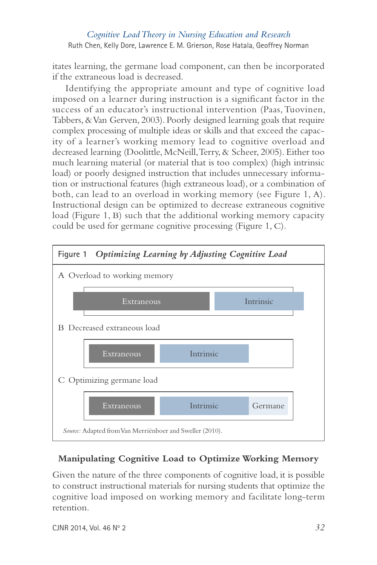itates learning, the germane load component, can then be incorporated if the extraneous load is decreased.

Identifying the appropriate amount and type of cognitive load imposed on a learner during instruction is a significant factor in the success of an educator's instructional intervention (Paas, Tuovinen, Tabbers, & Van Gerven, 2003). Poorly designed learning goals that require complex processing of multiple ideas or skills and that exceed the capacity of a learner's working memory lead to cognitive overload and decreased learning (Doolittle, McNeill, Terry, & Scheer, 2005). Either too much learning material (or material that is too complex) (high intrinsic load) or poorly designed instruction that includes unnecessary information or instructional features (high extraneous load), or a combination of both, can lead to an overload in working memory (see Figure 1, A). Instructional design can be optimized to decrease extraneous cognitive load (Figure 1, B) such that the additional working memory capacity could be used for germane cognitive processing (Figure 1, C).



## **Manipulating Cognitive Load to Optimize Working Memory**

Given the nature of the three components of cognitive load, it is possible to construct instructional materials for nursing students that optimize the cognitive load imposed on working memory and facilitate long-term retention.

CJNR 2014, Vol. 46 No 2 *32*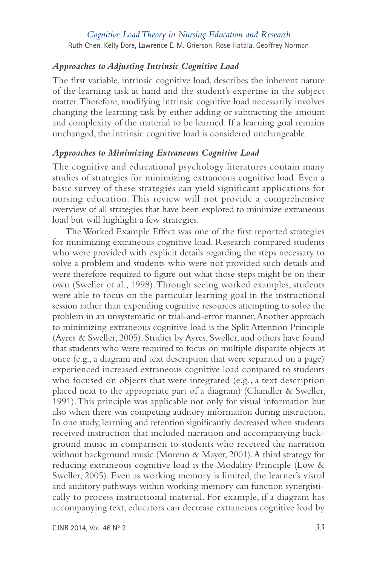#### *Approaches to Adjusting Intrinsic Cognitive Load*

The first variable, intrinsic cognitive load, describes the inherent nature of the learning task at hand and the student's expertise in the subject matter. Therefore, modifying intrinsic cognitive load necessarily involves changing the learning task by either adding or subtracting the amount and complexity of the material to be learned. If a learning goal remains unchanged, the intrinsic cognitive load is considered unchangeable.

#### *Approaches to Minimizing Extraneous Cognitive Load*

The cognitive and educational psychology literatures contain many studies of strategies for minimizing extraneous cognitive load. Even a basic survey of these strategies can yield significant applications for nursing education. This review will not provide a comprehensive overview of all strategies that have been explored to minimize extraneous load but will highlight a few strategies.

The Worked Example Effect was one of the first reported strategies for minimizing extraneous cognitive load. Research compared students who were provided with explicit details regarding the steps necessary to solve a problem and students who were not provided such details and were therefore required to figure out what those steps might be on their own (Sweller et al., 1998). Through seeing worked examples, students were able to focus on the particular learning goal in the instructional session rather than expending cognitive resources attempting to solve the problem in an unsystematic or trial-and-error manner. Another approach to minimizing extraneous cognitive load is the Split Attention Principle (Ayres & Sweller, 2005). Studies by Ayres, Sweller, and others have found that students who were required to focus on multiple disparate objects at once (e.g., a diagram and text description that were separated on a page) experienced increased extraneous cognitive load compared to students who focused on objects that were integrated (e.g., a text description placed next to the appropriate part of a diagram) (Chandler & Sweller, 1991). This principle was applicable not only for visual information but also when there was competing auditory information during instruction. In one study, learning and retention significantly decreased when students received instruction that included narration and accompanying background music in comparison to students who received the narration without background music (Moreno & Mayer, 2001). A third strategy for reducing extraneous cognitive load is the Modality Principle (Low & Sweller, 2005). Even as working memory is limited, the learner's visual and auditory pathways within working memory can function synergistically to process instructional material. For example, if a diagram has accompanying text, educators can decrease extraneous cognitive load by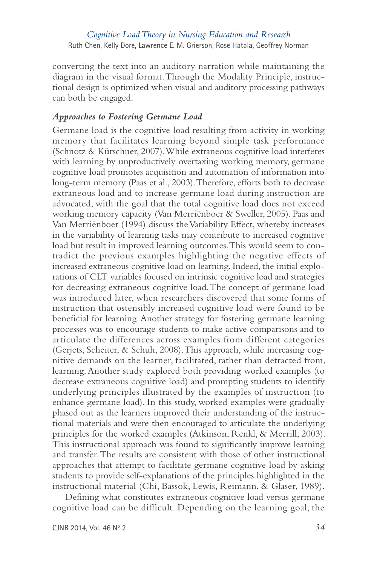converting the text into an auditory narration while maintaining the diagram in the visual format. Through the Modality Principle, instructional design is optimized when visual and auditory processing pathways can both be engaged.

#### *Approaches to Fostering Germane Load*

Germane load is the cognitive load resulting from activity in working memory that facilitates learning beyond simple task performance (Schnotz & Kürschner, 2007). While extraneous cognitive load interferes with learning by unproductively overtaxing working memory, germane cognitive load promotes acquisition and automation of information into long-term memory (Paas et al., 2003). Therefore, efforts both to decrease extraneous load and to increase germane load during instruction are advocated, with the goal that the total cognitive load does not exceed working memory capacity (Van Merriënboer & Sweller, 2005). Paas and Van Merriënboer (1994) discuss the Variability Effect, whereby increases in the variability of learning tasks may contribute to increased cognitive load but result in improved learning outcomes. This would seem to contradict the previous examples highlighting the negative effects of increased extraneous cognitive load on learning. Indeed, the initial explorations of CLT variables focused on intrinsic cognitive load and strategies for decreasing extraneous cognitive load. The concept of germane load was introduced later, when researchers discovered that some forms of instruction that ostensibly increased cognitive load were found to be beneficial for learning. Another strategy for fostering germane learning processes was to encourage students to make active comparisons and to articulate the differences across examples from different categories (Gerjets, Scheiter, & Schuh, 2008). This approach, while increasing cognitive demands on the learner, facilitated, rather than detracted from, learning. Another study explored both providing worked examples (to decrease extraneous cognitive load) and prompting students to identify underlying principles illustrated by the examples of instruction (to enhance germane load). In this study, worked examples were gradually phased out as the learners improved their understanding of the instructional materials and were then encouraged to articulate the underlying principles for the worked examples (Atkinson, Renkl, & Merrill, 2003). This instructional approach was found to significantly improve learning and transfer. The results are consistent with those of other instructional approaches that attempt to facilitate germane cognitive load by asking students to provide self-explanations of the principles highlighted in the instructional material (Chi, Bassok, Lewis, Reimann, & Glaser, 1989).

Defining what constitutes extraneous cognitive load versus germane cognitive load can be difficult. Depending on the learning goal, the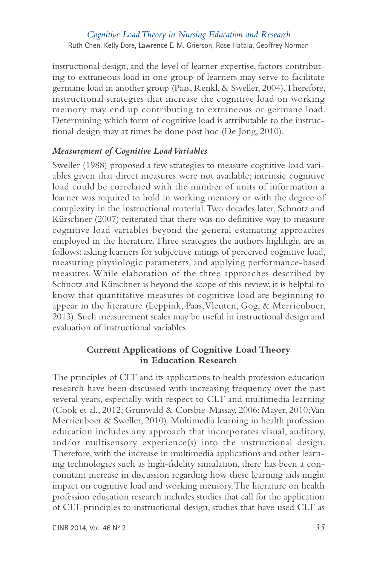instructional design, and the level of learner expertise, factors contributing to extraneous load in one group of learners may serve to facilitate germane load in another group (Paas, Renkl, & Sweller, 2004). Therefore, instructional strategies that increase the cognitive load on working memory may end up contributing to extraneous or germane load. Determining which form of cognitive load is attributable to the instructional design may at times be done post hoc (De Jong, 2010).

### *Measurement of Cognitive Load Variables*

Sweller (1988) proposed a few strategies to measure cognitive load variables given that direct measures were not available; intrinsic cognitive load could be correlated with the number of units of information a learner was required to hold in working memory or with the degree of complexity in the instructional material. Two decades later, Schnotz and Kürschner (2007) reiterated that there was no definitive way to measure cognitive load variables beyond the general estimating approaches employed in the literature. Three strategies the authors highlight are as follows: asking learners for subjective ratings of perceived cognitive load, measuring physiologic parameters, and applying performance-based measures. While elaboration of the three approaches described by Schnotz and Kürschner is beyond the scope of this review, it is helpful to know that quantitative measures of cognitive load are beginning to appear in the literature (Leppink, Paas, Vleuten, Gog, & Merriënboer, 2013). Such measurement scales may be useful in instructional design and evaluation of instructional variables.

#### **Current Applications of Cognitive Load Theory in Education Research**

The principles of CLT and its applications to health profession education research have been discussed with increasing frequency over the past several years, especially with respect to CLT and multimedia learning (Cook et al., 2012; Grunwald & Corsbie-Massay, 2006; Mayer, 2010; Van Merriënboer & Sweller, 2010). Multimedia learning in health profession education includes any approach that incorporates visual, auditory, and/or multisensory experience(s) into the instructional design. Therefore, with the increase in multimedia applications and other learning technologies such as high-fidelity simulation, there has been a concomitant increase in discussion regarding how these learning aids might impact on cognitive load and working memory. The literature on health profession education research includes studies that call for the application of CLT principles to instructional design, studies that have used CLT as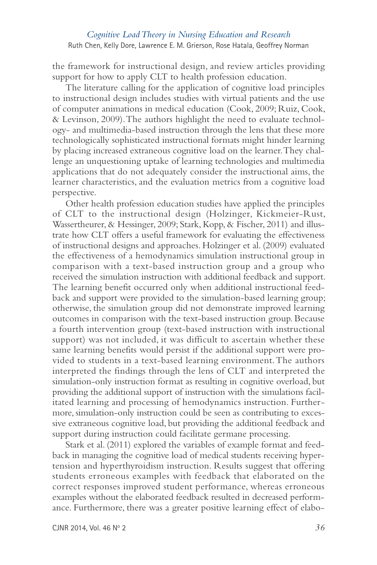the framework for instructional design, and review articles providing support for how to apply CLT to health profession education.

The literature calling for the application of cognitive load principles to instructional design includes studies with virtual patients and the use of computer animations in medical education (Cook, 2009; Ruiz, Cook, & Levinson, 2009). The authors highlight the need to evaluate technology- and multimedia-based instruction through the lens that these more technologically sophisticated instructional formats might hinder learning by placing increased extraneous cognitive load on the learner. They challenge an unquestioning uptake of learning technologies and multimedia applications that do not adequately consider the instructional aims, the learner characteristics, and the evaluation metrics from a cognitive load perspective.

Other health profession education studies have applied the principles of CLT to the instructional design (Holzinger, Kickmeier-Rust, Wassertheurer, & Hessinger, 2009; Stark, Kopp, & Fischer, 2011) and illustrate how CLT offers a useful framework for evaluating the effectiveness of instructional designs and approaches. Holzinger et al. (2009) evaluated the effectiveness of a hemodynamics simulation instructional group in comparison with a text-based instruction group and a group who received the simulation instruction with additional feedback and support. The learning benefit occurred only when additional instructional feedback and support were provided to the simulation-based learning group; otherwise, the simulation group did not demonstrate improved learning outcomes in comparison with the text-based instruction group. Because a fourth intervention group (text-based instruction with instructional support) was not included, it was difficult to ascertain whether these same learning benefits would persist if the additional support were provided to students in a text-based learning environment. The authors interpreted the findings through the lens of CLT and interpreted the simulation-only instruction format as resulting in cognitive overload, but providing the additional support of instruction with the simulations facilitated learning and processing of hemodynamics instruction. Further more, simulation-only instruction could be seen as contributing to excessive extraneous cognitive load, but providing the additional feedback and support during instruction could facilitate germane processing.

Stark et al. (2011) explored the variables of example format and feedback in managing the cognitive load of medical students receiving hypertension and hyperthyroidism instruction. Results suggest that offering students erroneous examples with feedback that elaborated on the correct responses improved student performance, whereas erroneous examples without the elaborated feedback resulted in decreased performance. Furthermore, there was a greater positive learning effect of elabo-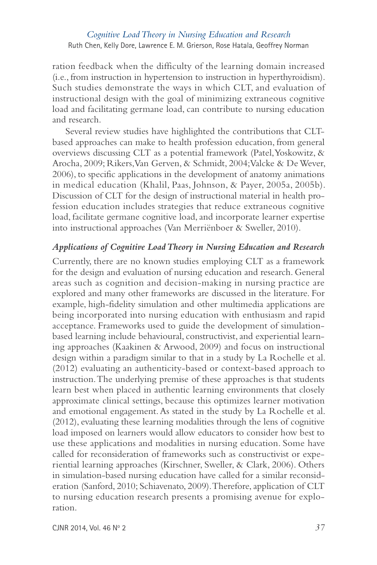ration feedback when the difficulty of the learning domain increased (i.e., from instruction in hypertension to instruction in hyperthyroidism). Such studies demonstrate the ways in which CLT, and evaluation of instructional design with the goal of minimizing extraneous cognitive load and facilitating germane load, can contribute to nursing education and research.

Several review studies have highlighted the contributions that CLTbased approaches can make to health profession education, from general overviews discussing CLT as a potential framework (Patel, Yoskowitz, & Arocha, 2009; Rikers, Van Gerven, & Schmidt, 2004; Valcke & De Wever, 2006), to specific applications in the development of anatomy animations in medical education (Khalil, Paas, Johnson, & Payer, 2005a, 2005b). Discussion of CLT for the design of instructional material in health profession education includes strategies that reduce extraneous cognitive load, facilitate germane cognitive load, and incorporate learner expertise into instructional approaches (Van Merriënboer & Sweller, 2010).

#### *Applications of Cognitive Load Theory in Nursing Education and Research*

Currently, there are no known studies employing CLT as a framework for the design and evaluation of nursing education and research. General areas such as cognition and decision-making in nursing practice are explored and many other frameworks are discussed in the literature. For example, high-fidelity simulation and other multimedia applications are being incorporated into nursing education with enthusiasm and rapid acceptance. Frameworks used to guide the development of simulationbased learning include behavioural, constructivist, and experiential learning approaches (Kaakinen & Arwood, 2009) and focus on instructional design within a paradigm similar to that in a study by La Rochelle et al. (2012) evaluating an authenticity-based or context-based approach to instruction. The underlying premise of these approaches is that students learn best when placed in authentic learning environments that closely approximate clinical settings, because this optimizes learner motivation and emotional engagement. As stated in the study by La Rochelle et al. (2012), evaluating these learning modalities through the lens of cognitive load imposed on learners would allow educators to consider how best to use these applications and modalities in nursing education. Some have called for reconsideration of frameworks such as constructivist or experiential learning approaches (Kirschner, Sweller, & Clark, 2006). Others in simulation-based nursing education have called for a similar reconsideration (Sanford, 2010; Schiavenato, 2009). Therefore, application of CLT to nursing education research presents a promising avenue for exploration.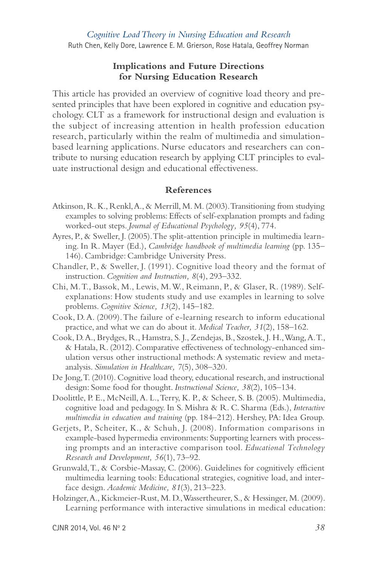#### **Implications and Future Directions for Nursing Education Research**

This article has provided an overview of cognitive load theory and presented principles that have been explored in cognitive and education psychology. CLT as a framework for instructional design and evaluation is the subject of increasing attention in health profession education research, particularly within the realm of multimedia and simulationbased learning applications. Nurse educators and researchers can contribute to nursing education research by applying CLT principles to evaluate instructional design and educational effectiveness.

#### **References**

- Atkinson, R. K., Renkl, A., & Merrill, M. M. (2003). Transitioning from studying examples to solving problems: Effects of self-explanation prompts and fading worked-out steps. *Journal of Educational Psychology, 95*(4), 774.
- Ayres, P., & Sweller, J. (2005). The split-attention principle in multimedia learning. In R. Mayer (Ed.), *Cambridge handbook of multimedia learning* (pp. 135– 146). Cambridge: Cambridge University Press.
- Chandler, P., & Sweller, J. (1991). Cognitive load theory and the format of instruction. *Cognition and Instruction, 8*(4), 293–332.
- Chi, M. T., Bassok, M., Lewis, M. W., Reimann, P., & Glaser, R. (1989). Selfexplanations: How students study and use examples in learning to solve problems. *Cognitive Science, 13*(2), 145–182.
- Cook, D. A. (2009). The failure of e-learning research to inform educational practice, and what we can do about it. *Medical Teacher, 31*(2), 158–162.
- Cook, D. A., Brydges, R., Hamstra, S. J., Zendejas, B., Szostek, J. H., Wang, A. T., & Hatala, R. (2012). Comparative effectiveness of technology-enhanced simulation versus other instructional methods: A systematic review and metaanalysis. *Simulation in Healthcare, 7*(5), 308–320.
- De Jong, T. (2010). Cognitive load theory, educational research, and instructional design: Some food for thought. *Instructional Science, 38*(2), 105–134.
- Doolittle, P. E., McNeill, A. L., Terry, K. P., & Scheer, S. B. (2005). Multimedia, cognitive load and pedagogy. In S. Mishra & R. C. Sharma (Eds.), *Interactive multimedia in education and training* (pp. 184–212). Hershey, PA: Idea Group.
- Gerjets, P., Scheiter, K., & Schuh, J. (2008). Information comparisons in example-based hypermedia environments: Supporting learners with processing prompts and an interactive comparison tool. *Educational Technology Research and Development, 56*(1), 73–92.
- Grunwald, T., & Corsbie-Massay, C. (2006). Guidelines for cognitively efficient multimedia learning tools: Educational strategies, cognitive load, and interface design. *Academic Medicine, 81*(3), 213–223.
- Holzinger, A., Kickmeier-Rust, M. D., Wassertheurer, S., & Hessinger, M. (2009). Learning performance with interactive simulations in medical education:

CJNR 2014, Vol. 46 No 2 *38*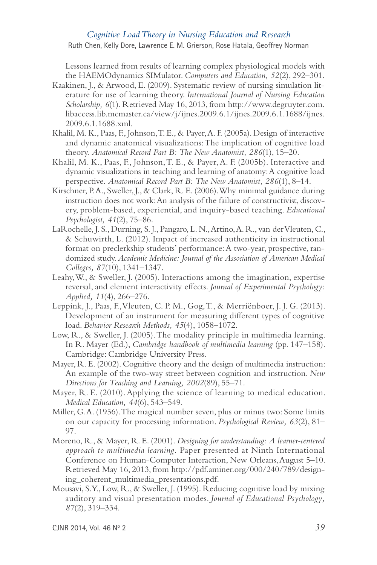*Cognitive Load Theory in Nursing Education and Research*

Ruth Chen, Kelly Dore, Lawrence E. M. Grierson, Rose Hatala, Geoffrey Norman

Lessons learned from results of learning complex physiological models with the HAEMOdynamics SIMulator. *Computers and Education, 52*(2), 292–301.

- Kaakinen, J., & Arwood, E. (2009). Systematic review of nursing simulation literature for use of learning theory. *International Journal of Nursing Education Scholarship, 6*(1). Retrieved May 16, 2013, from http://www.degruyter.com. libaccess.lib.mcmaster.ca/view/j/ijnes.2009.6.1/ijnes.2009.6.1.1688/ijnes. 2009.6.1.1688.xml.
- Khalil, M. K., Paas, F., Johnson, T. E., & Payer, A. F. (2005a). Design of interactive and dynamic anatomical visualizations: The implication of cognitive load theory. *Anatomical Record Part B: The New Anatomist, 286*(1), 15–20.
- Khalil, M. K., Paas, F., Johnson, T. E., & Payer, A. F. (2005b). Interactive and dynamic visualizations in teaching and learning of anatomy: A cognitive load perspective. *Anatomical Record Part B: The New Anatomist, 286*(1), 8–14.
- Kirschner, P.A., Sweller, J., & Clark, R. E. (2006). Why minimal guidance during instruction does not work: An analysis of the failure of constructivist, discovery, problem-based, experiential, and inquiry-based teaching. *Educational Psychologist, 41*(2), 75–86.
- LaRochelle, J. S., Durning, S. J., Pangaro, L. N., Artino, A. R., van der Vleuten, C., & Schuwirth, L. (2012). Impact of increased authenticity in instructional format on preclerkship students' performance: A two-year, prospective, randomized study. *Academic Medicine: Journal of the Association of American Medical Colleges, 87*(10), 1341–1347.
- Leahy, W., & Sweller, J. (2005). Interactions among the imagination, expertise reversal, and element interactivity effects. *Journal of Experimental Psychology: Applied, 11*(4), 266–276.
- Leppink, J., Paas, F., Vleuten, C. P. M., Gog, T., & Merriënboer, J. J. G. (2013). Development of an instrument for measuring different types of cognitive load. *Behavior Research Methods, 45*(4), 1058–1072.
- Low, R., & Sweller, J. (2005). The modality principle in multimedia learning. In R. Mayer (Ed.), *Cambridge handbook of multimedia learning* (pp. 147–158). Cambridge: Cambridge University Press.
- Mayer, R. E. (2002). Cognitive theory and the design of multimedia instruction: An example of the two-way street between cognition and instruction. *New Directions for Teaching and Learning, 2002*(89), 55–71.
- Mayer, R. E. (2010). Applying the science of learning to medical education. *Medical Education, 44*(6), 543–549.
- Miller, G. A. (1956). The magical number seven, plus or minus two: Some limits on our capacity for processing information. *Psychological Review, 63*(2), 81– 97.
- Moreno, R., & Mayer, R. E. (2001). *Designing for understanding: A learner-centered approach to multimedia learning.* Paper presented at Ninth International Conference on Human-Computer Interaction, New Orleans, August 5–10. Retrieved May 16, 2013, from http://pdf.aminer.org/000/240/789/designing\_coherent\_multimedia\_presentations.pdf.
- Mousavi, S. Y., Low, R., & Sweller, J. (1995). Reducing cognitive load by mixing auditory and visual presentation modes. *Journal of Educational Psychology, 87*(2), 319–334.

CJNR 2014, Vol. 46 No 2 *39*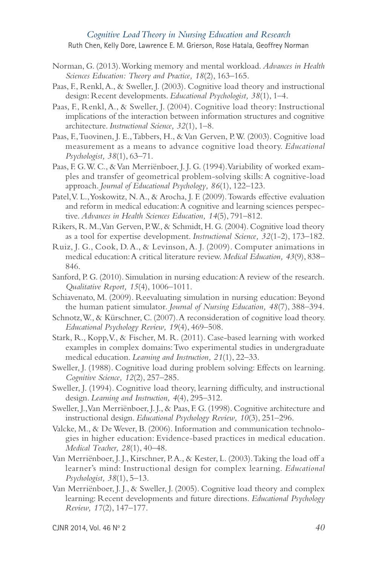- Norman, G. (2013). Working memory and mental workload. *Advances in Health Sciences Education: Theory and Practice, 18*(2), 163–165.
- Paas, F., Renkl, A., & Sweller, J. (2003). Cognitive load theory and instructional design: Recent developments. *Educational Psychologist, 38*(1), 1–4.
- Paas, F., Renkl, A., & Sweller, J. (2004). Cognitive load theory: Instructional implications of the interaction between information structures and cognitive architecture. *Instructional Science, 32*(1), 1–8.
- Paas, F., Tuovinen, J. E., Tabbers, H., & Van Gerven, P. W. (2003). Cognitive load measurement as a means to advance cognitive load theory. *Educational Psychologist, 38*(1), 63–71.
- Paas, F. G. W. C., & Van Merriënboer, J. J. G. (1994). Variability of worked examples and transfer of geometrical problem-solving skills: A cognitive-load approach. *Journal of Educational Psychology, 86*(1), 122–123.
- Patel, V. L., Yoskowitz, N. A., & Arocha, J. F. (2009). Towards effective evaluation and reform in medical education: A cognitive and learning sciences perspective. *Advances in Health Sciences Education, 14*(5), 791–812.
- Rikers, R. M., Van Gerven, P.W., & Schmidt, H. G. (2004). Cognitive load theory as a tool for expertise development. *Instructional Science, 32*(1-2), 173–182.
- Ruiz, J. G., Cook, D. A., & Levinson, A. J. (2009). Computer animations in medical education: A critical literature review. *Medical Education, 43*(9), 838– 846.
- Sanford, P. G. (2010). Simulation in nursing education: A review of the research. *Qualitative Report, 15*(4), 1006–1011.
- Schiavenato, M. (2009). Reevaluating simulation in nursing education: Beyond the human patient simulator. *Journal of Nursing Education, 48*(7), 388–394.
- Schnotz, W., & Kürschner, C. (2007). A reconsideration of cognitive load theory. *Educational Psychology Review, 19*(4), 469–508.
- Stark, R., Kopp, V., & Fischer, M. R. (2011). Case-based learning with worked examples in complex domains: Two experimental studies in undergraduate medical education. *Learning and Instruction, 21*(1), 22–33.
- Sweller, J. (1988). Cognitive load during problem solving: Effects on learning. *Cognitive Science, 12*(2), 257–285.
- Sweller, J. (1994). Cognitive load theory, learning difficulty, and instructional design. *Learning and Instruction, 4*(4), 295–312.
- Sweller, J., Van Merriënboer, J. J., & Paas, F. G. (1998). Cognitive architecture and instructional design. *Educational Psychology Review, 10*(3), 251–296.
- Valcke, M., & De Wever, B. (2006). Information and communication technologies in higher education: Evidence-based practices in medical education. *Medical Teacher, 28*(1), 40–48.
- Van Merriënboer, J. J., Kirschner, P. A., & Kester, L. (2003). Taking the load off a learner's mind: Instructional design for complex learning. *Educational Psychologist, 38*(1), 5–13.
- Van Merriënboer, J. J., & Sweller, J. (2005). Cognitive load theory and complex learning: Recent developments and future directions. *Educational Psychology Review, 17*(2), 147–177.

CJNR 2014, Vol. 46 N<sup>o</sup> 2 *40*